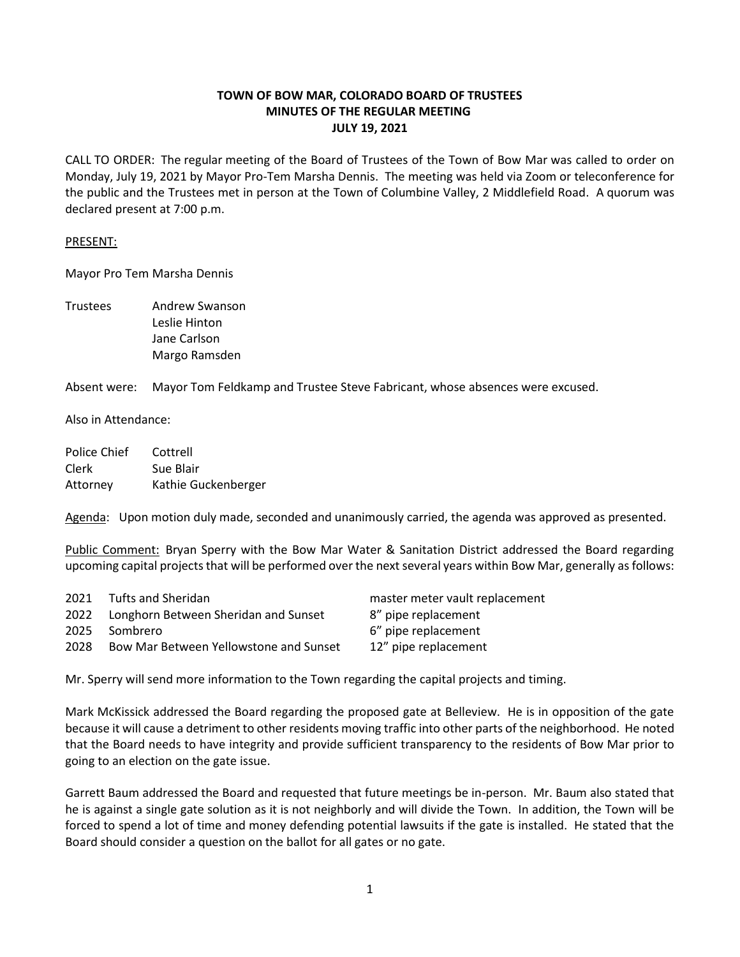# **TOWN OF BOW MAR, COLORADO BOARD OF TRUSTEES MINUTES OF THE REGULAR MEETING JULY 19, 2021**

CALL TO ORDER: The regular meeting of the Board of Trustees of the Town of Bow Mar was called to order on Monday, July 19, 2021 by Mayor Pro-Tem Marsha Dennis. The meeting was held via Zoom or teleconference for the public and the Trustees met in person at the Town of Columbine Valley, 2 Middlefield Road. A quorum was declared present at 7:00 p.m.

### PRESENT:

Mayor Pro Tem Marsha Dennis

Trustees Andrew Swanson Leslie Hinton Jane Carlson Margo Ramsden

Absent were: Mayor Tom Feldkamp and Trustee Steve Fabricant, whose absences were excused.

Also in Attendance:

| Police Chief | Cottrell            |
|--------------|---------------------|
| Clerk        | Sue Blair           |
| Attorney     | Kathie Guckenberger |

Agenda: Upon motion duly made, seconded and unanimously carried, the agenda was approved as presented.

Public Comment: Bryan Sperry with the Bow Mar Water & Sanitation District addressed the Board regarding upcoming capital projects that will be performed over the next several years within Bow Mar, generally as follows:

| 2021 | Tufts and Sheridan                        | master meter vault replacement |
|------|-------------------------------------------|--------------------------------|
|      | 2022 Longhorn Between Sheridan and Sunset | 8" pipe replacement            |
| 2025 | Sombrero                                  | 6" pipe replacement            |
| 2028 | Bow Mar Between Yellowstone and Sunset    | 12" pipe replacement           |
|      |                                           |                                |

Mr. Sperry will send more information to the Town regarding the capital projects and timing.

Mark McKissick addressed the Board regarding the proposed gate at Belleview. He is in opposition of the gate because it will cause a detriment to other residents moving traffic into other parts of the neighborhood. He noted that the Board needs to have integrity and provide sufficient transparency to the residents of Bow Mar prior to going to an election on the gate issue.

Garrett Baum addressed the Board and requested that future meetings be in-person. Mr. Baum also stated that he is against a single gate solution as it is not neighborly and will divide the Town. In addition, the Town will be forced to spend a lot of time and money defending potential lawsuits if the gate is installed. He stated that the Board should consider a question on the ballot for all gates or no gate.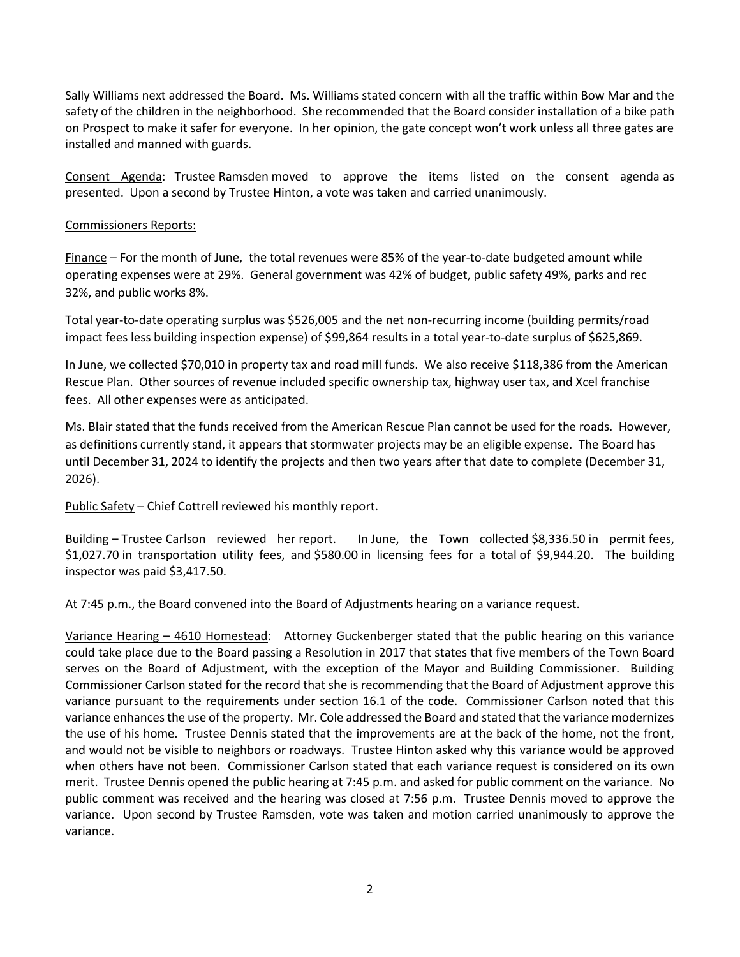Sally Williams next addressed the Board. Ms. Williams stated concern with all the traffic within Bow Mar and the safety of the children in the neighborhood. She recommended that the Board consider installation of a bike path on Prospect to make it safer for everyone. In her opinion, the gate concept won't work unless all three gates are installed and manned with guards.

Consent Agenda: Trustee Ramsden moved to approve the items listed on the consent agenda as presented. Upon a second by Trustee Hinton, a vote was taken and carried unanimously.

## Commissioners Reports:

Finance – For the month of June, the total revenues were 85% of the year-to-date budgeted amount while operating expenses were at 29%. General government was 42% of budget, public safety 49%, parks and rec 32%, and public works 8%.

Total year-to-date operating surplus was \$526,005 and the net non-recurring income (building permits/road impact fees less building inspection expense) of \$99,864 results in a total year-to-date surplus of \$625,869.

In June, we collected \$70,010 in property tax and road mill funds. We also receive \$118,386 from the American Rescue Plan. Other sources of revenue included specific ownership tax, highway user tax, and Xcel franchise fees. All other expenses were as anticipated.

Ms. Blair stated that the funds received from the American Rescue Plan cannot be used for the roads. However, as definitions currently stand, it appears that stormwater projects may be an eligible expense. The Board has until December 31, 2024 to identify the projects and then two years after that date to complete (December 31, 2026).

Public Safety – Chief Cottrell reviewed his monthly report.

Building – Trustee Carlson reviewed her report. In June, the Town collected \$8,336.50 in permit fees, \$1,027.70 in transportation utility fees, and \$580.00 in licensing fees for a total of \$9,944.20. The building inspector was paid \$3,417.50.

At 7:45 p.m., the Board convened into the Board of Adjustments hearing on a variance request.

Variance Hearing – 4610 Homestead: Attorney Guckenberger stated that the public hearing on this variance could take place due to the Board passing a Resolution in 2017 that states that five members of the Town Board serves on the Board of Adjustment, with the exception of the Mayor and Building Commissioner. Building Commissioner Carlson stated for the record that she is recommending that the Board of Adjustment approve this variance pursuant to the requirements under section 16.1 of the code. Commissioner Carlson noted that this variance enhances the use of the property. Mr. Cole addressed the Board and stated that the variance modernizes the use of his home. Trustee Dennis stated that the improvements are at the back of the home, not the front, and would not be visible to neighbors or roadways. Trustee Hinton asked why this variance would be approved when others have not been. Commissioner Carlson stated that each variance request is considered on its own merit. Trustee Dennis opened the public hearing at 7:45 p.m. and asked for public comment on the variance. No public comment was received and the hearing was closed at 7:56 p.m. Trustee Dennis moved to approve the variance. Upon second by Trustee Ramsden, vote was taken and motion carried unanimously to approve the variance.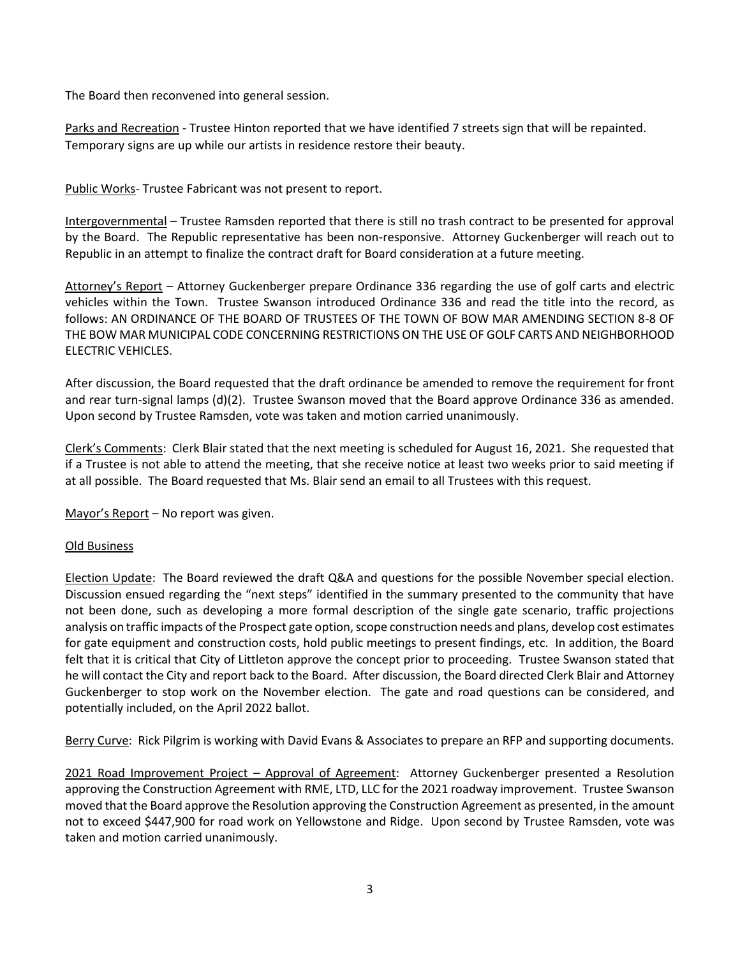The Board then reconvened into general session.

Parks and Recreation - Trustee Hinton reported that we have identified 7 streets sign that will be repainted. Temporary signs are up while our artists in residence restore their beauty.

Public Works- Trustee Fabricant was not present to report.

Intergovernmental – Trustee Ramsden reported that there is still no trash contract to be presented for approval by the Board. The Republic representative has been non-responsive. Attorney Guckenberger will reach out to Republic in an attempt to finalize the contract draft for Board consideration at a future meeting.

Attorney's Report – Attorney Guckenberger prepare Ordinance 336 regarding the use of golf carts and electric vehicles within the Town. Trustee Swanson introduced Ordinance 336 and read the title into the record, as follows: AN ORDINANCE OF THE BOARD OF TRUSTEES OF THE TOWN OF BOW MAR AMENDING SECTION 8-8 OF THE BOW MAR MUNICIPAL CODE CONCERNING RESTRICTIONS ON THE USE OF GOLF CARTS AND NEIGHBORHOOD ELECTRIC VEHICLES.

After discussion, the Board requested that the draft ordinance be amended to remove the requirement for front and rear turn-signal lamps (d)(2). Trustee Swanson moved that the Board approve Ordinance 336 as amended. Upon second by Trustee Ramsden, vote was taken and motion carried unanimously.

Clerk's Comments: Clerk Blair stated that the next meeting is scheduled for August 16, 2021. She requested that if a Trustee is not able to attend the meeting, that she receive notice at least two weeks prior to said meeting if at all possible. The Board requested that Ms. Blair send an email to all Trustees with this request.

Mayor's Report – No report was given.

### Old Business

Election Update: The Board reviewed the draft Q&A and questions for the possible November special election. Discussion ensued regarding the "next steps" identified in the summary presented to the community that have not been done, such as developing a more formal description of the single gate scenario, traffic projections analysis on traffic impacts of the Prospect gate option, scope construction needs and plans, develop cost estimates for gate equipment and construction costs, hold public meetings to present findings, etc. In addition, the Board felt that it is critical that City of Littleton approve the concept prior to proceeding. Trustee Swanson stated that he will contact the City and report back to the Board. After discussion, the Board directed Clerk Blair and Attorney Guckenberger to stop work on the November election. The gate and road questions can be considered, and potentially included, on the April 2022 ballot.

Berry Curve: Rick Pilgrim is working with David Evans & Associates to prepare an RFP and supporting documents.

2021 Road Improvement Project – Approval of Agreement: Attorney Guckenberger presented a Resolution approving the Construction Agreement with RME, LTD, LLC for the 2021 roadway improvement. Trustee Swanson moved that the Board approve the Resolution approving the Construction Agreement as presented, in the amount not to exceed \$447,900 for road work on Yellowstone and Ridge. Upon second by Trustee Ramsden, vote was taken and motion carried unanimously.